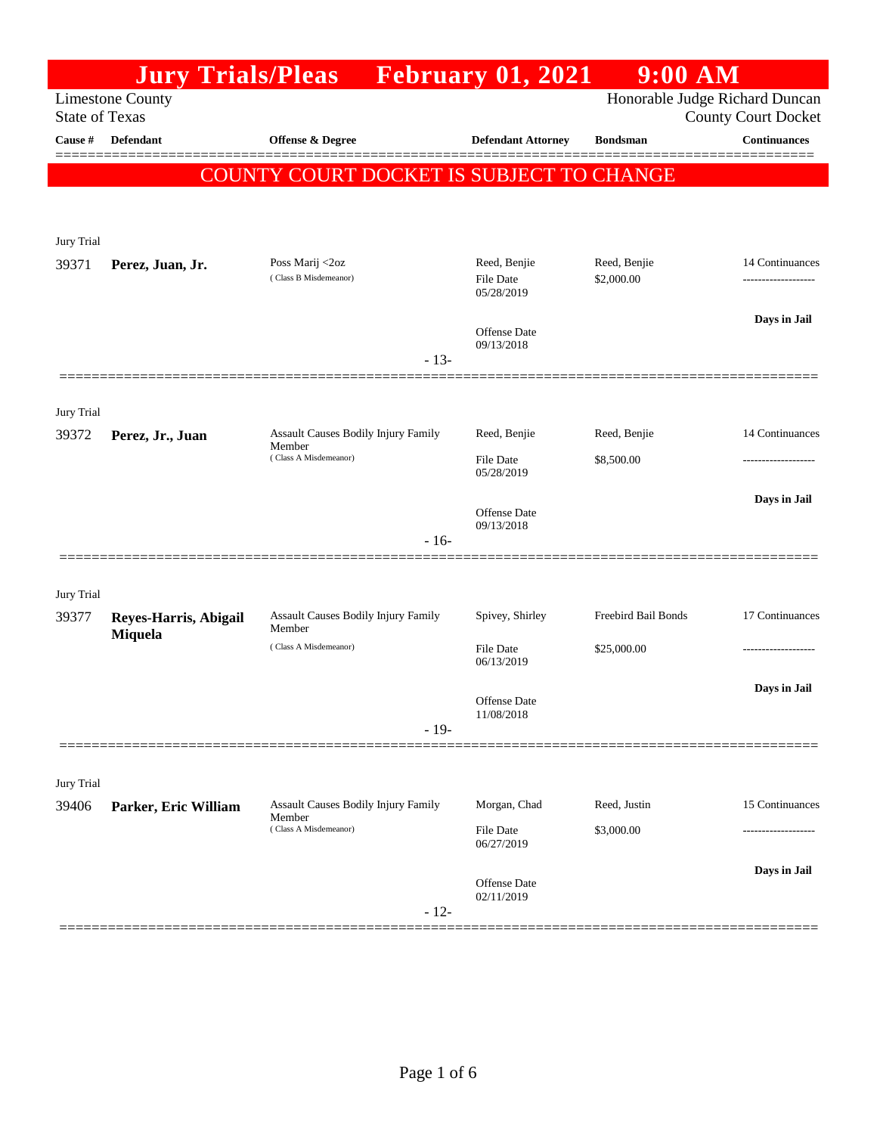|                                                  | <b>Jury Trials/Pleas</b> |                                                                        | <b>February 01, 2021</b>                | $9:00$ AM                      |                                       |
|--------------------------------------------------|--------------------------|------------------------------------------------------------------------|-----------------------------------------|--------------------------------|---------------------------------------|
| <b>Limestone County</b><br><b>State of Texas</b> |                          |                                                                        |                                         | Honorable Judge Richard Duncan | <b>County Court Docket</b>            |
| Cause #                                          | <b>Defendant</b>         | <b>Offense &amp; Degree</b>                                            | <b>Defendant Attorney</b>               | <b>Bondsman</b>                | <b>Continuances</b>                   |
|                                                  |                          | COUNTY COURT DOCKET IS SUBJECT TO CHANGE                               |                                         |                                |                                       |
|                                                  |                          |                                                                        |                                         |                                |                                       |
|                                                  |                          |                                                                        |                                         |                                |                                       |
| Jury Trial                                       |                          |                                                                        |                                         |                                |                                       |
| 39371                                            | Perez, Juan, Jr.         | Poss Marij <2oz<br>(Class B Misdemeanor)                               | Reed, Benjie<br>File Date<br>05/28/2019 | Reed, Benjie<br>\$2,000.00     | 14 Continuances<br>------------------ |
|                                                  |                          |                                                                        | <b>Offense Date</b><br>09/13/2018       |                                | Days in Jail                          |
|                                                  |                          | $-13-$                                                                 |                                         |                                |                                       |
|                                                  |                          |                                                                        |                                         |                                |                                       |
| Jury Trial<br>39372                              | Perez, Jr., Juan         | Assault Causes Bodily Injury Family                                    | Reed, Benjie                            | Reed, Benjie                   | 14 Continuances                       |
|                                                  |                          | Member<br>(Class A Misdemeanor)                                        | File Date<br>05/28/2019                 | \$8,500.00                     |                                       |
|                                                  |                          |                                                                        | <b>Offense Date</b>                     |                                | Days in Jail                          |
|                                                  |                          | $-16-$                                                                 | 09/13/2018                              |                                |                                       |
|                                                  |                          |                                                                        |                                         |                                |                                       |
| Jury Trial                                       |                          |                                                                        |                                         |                                |                                       |
| 39377                                            | Reyes-Harris, Abigail    | <b>Assault Causes Bodily Injury Family</b><br>Member                   | Spivey, Shirley                         | Freebird Bail Bonds            | 17 Continuances                       |
|                                                  | Miquela                  | (Class A Misdemeanor)                                                  | File Date<br>06/13/2019                 | \$25,000.00                    |                                       |
|                                                  |                          |                                                                        | Offense Date<br>11/08/2018              |                                | Days in Jail                          |
|                                                  |                          | $-19-$                                                                 |                                         |                                |                                       |
|                                                  |                          |                                                                        |                                         |                                |                                       |
| Jury Trial                                       |                          |                                                                        |                                         |                                | 15 Continuances                       |
| 39406                                            | Parker, Eric William     | Assault Causes Bodily Injury Family<br>Member<br>(Class A Misdemeanor) | Morgan, Chad<br>File Date               | Reed, Justin<br>\$3,000.00     |                                       |
|                                                  |                          |                                                                        | 06/27/2019                              |                                |                                       |
|                                                  |                          |                                                                        | Offense Date<br>02/11/2019              |                                | Days in Jail                          |
|                                                  |                          | $-12-$                                                                 |                                         |                                |                                       |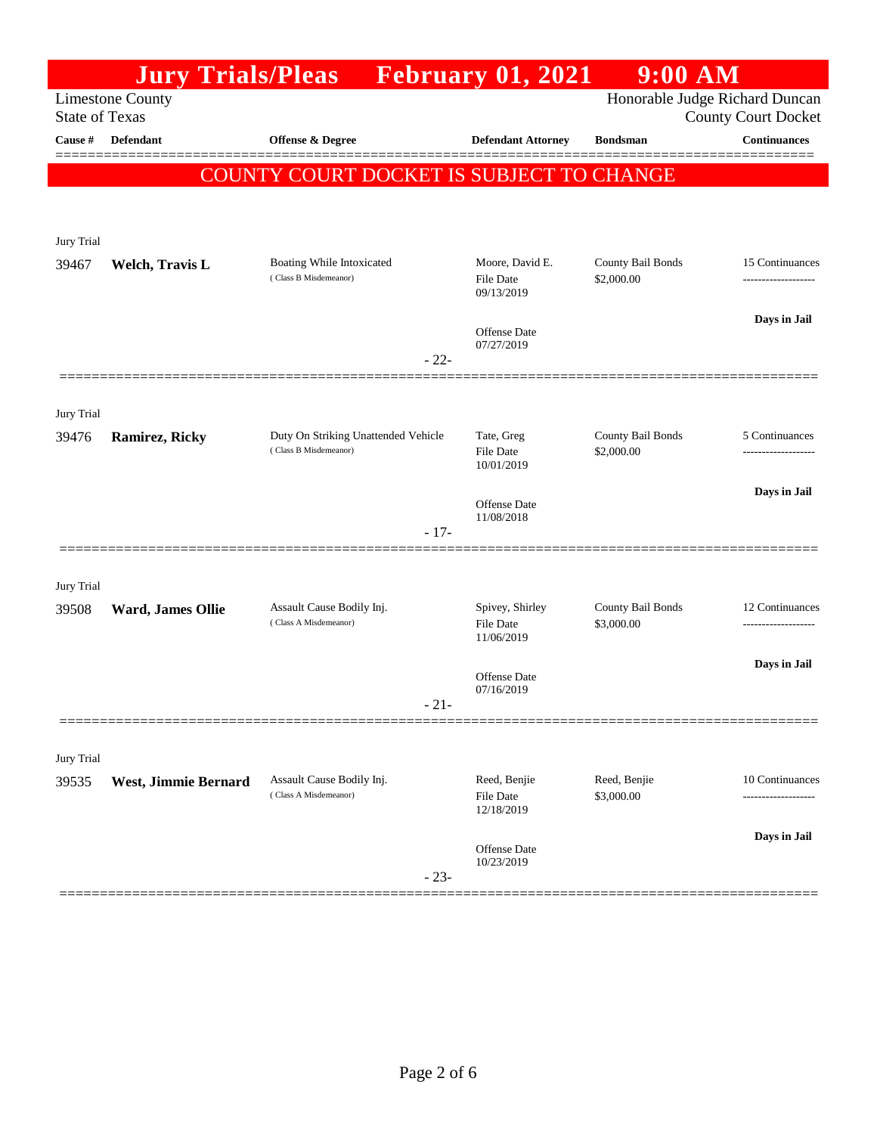|                       | <b>Jury Trials/Pleas</b> |                                                    | <b>February 01, 2021</b>                                     | $9:00$ AM                       |                                        |
|-----------------------|--------------------------|----------------------------------------------------|--------------------------------------------------------------|---------------------------------|----------------------------------------|
| <b>State of Texas</b> | <b>Limestone County</b>  |                                                    | Honorable Judge Richard Duncan<br><b>County Court Docket</b> |                                 |                                        |
| Cause #               | Defendant                | <b>Offense &amp; Degree</b>                        | <b>Defendant Attorney</b>                                    | <b>Bondsman</b>                 | <b>Continuances</b>                    |
|                       |                          | COUNTY COURT DOCKET IS SUBJECT TO CHANGE           |                                                              |                                 |                                        |
|                       |                          |                                                    |                                                              |                                 |                                        |
| Jury Trial            |                          |                                                    |                                                              |                                 |                                        |
| 39467                 | Welch, Travis L          | Boating While Intoxicated                          | Moore, David E.                                              | County Bail Bonds               | 15 Continuances                        |
|                       |                          | (Class B Misdemeanor)                              | File Date<br>09/13/2019                                      | \$2,000.00                      |                                        |
|                       |                          |                                                    | <b>Offense Date</b>                                          |                                 | Days in Jail                           |
|                       |                          | $-22-$                                             | 07/27/2019                                                   |                                 |                                        |
|                       |                          |                                                    |                                                              |                                 |                                        |
| Jury Trial<br>39476   |                          | Duty On Striking Unattended Vehicle                | Tate, Greg                                                   | County Bail Bonds               | 5 Continuances                         |
|                       | <b>Ramirez, Ricky</b>    | (Class B Misdemeanor)                              | File Date<br>10/01/2019                                      | \$2,000.00                      | -------------------                    |
|                       |                          |                                                    |                                                              |                                 | Days in Jail                           |
|                       |                          | $-17-$                                             | <b>Offense Date</b><br>11/08/2018                            |                                 |                                        |
|                       |                          |                                                    |                                                              |                                 |                                        |
| Jury Trial            |                          |                                                    |                                                              |                                 |                                        |
| 39508                 | Ward, James Ollie        | Assault Cause Bodily Inj.<br>(Class A Misdemeanor) | Spivey, Shirley<br>File Date                                 | County Bail Bonds<br>\$3,000.00 | 12 Continuances<br>------------------- |
|                       |                          |                                                    | 11/06/2019                                                   |                                 |                                        |
|                       |                          |                                                    | Offense Date<br>07/16/2019                                   |                                 | Days in Jail                           |
|                       |                          | $-21-$                                             |                                                              |                                 |                                        |
|                       |                          |                                                    |                                                              |                                 |                                        |
| Jury Trial<br>39535   | West, Jimmie Bernard     | Assault Cause Bodily Inj.                          | Reed, Benjie                                                 | Reed, Benjie                    | 10 Continuances                        |
|                       |                          | (Class A Misdemeanor)                              | File Date<br>12/18/2019                                      | \$3,000.00                      |                                        |
|                       |                          |                                                    | Offense Date                                                 |                                 | Days in Jail                           |
|                       |                          | $-23-$                                             | 10/23/2019                                                   |                                 |                                        |
|                       |                          |                                                    |                                                              |                                 |                                        |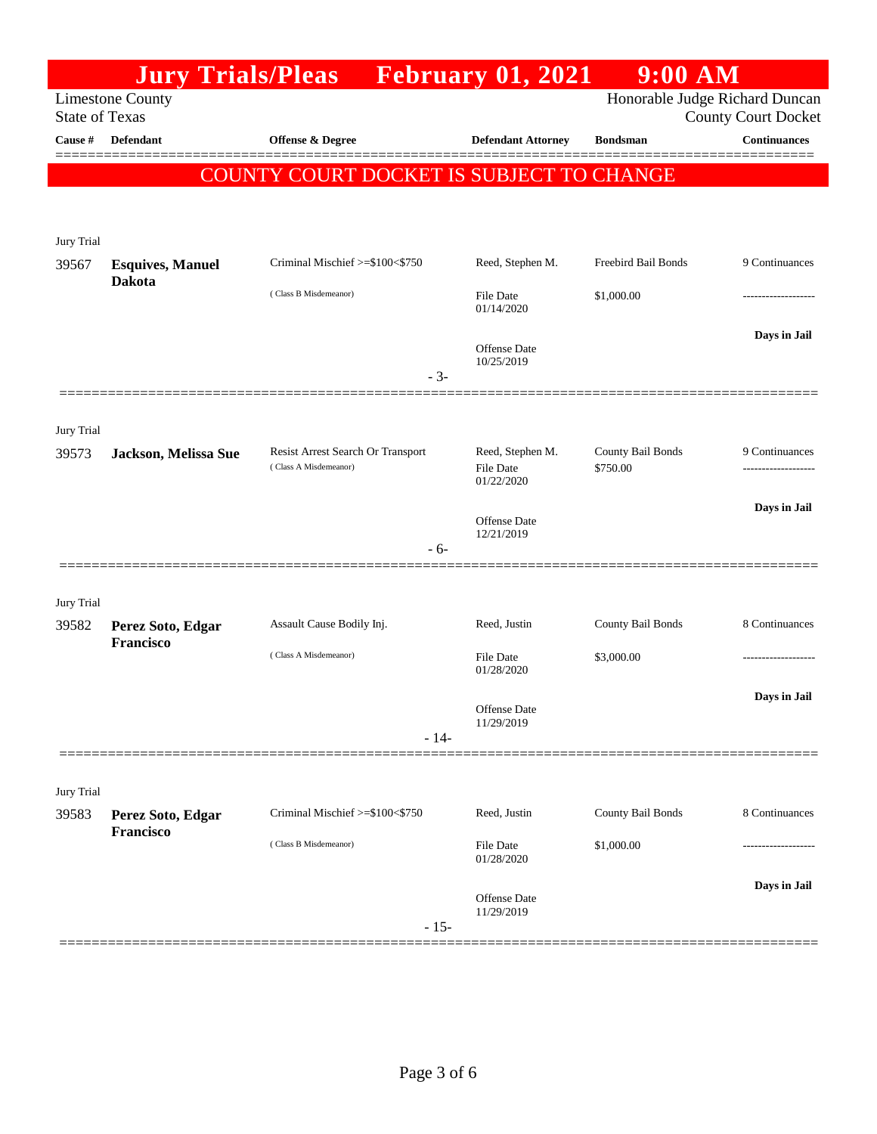|                                                                                    |                                          | <b>Jury Trials/Pleas</b> February 01, 2021      |                                   | 9:00 AM             |                                                   |  |
|------------------------------------------------------------------------------------|------------------------------------------|-------------------------------------------------|-----------------------------------|---------------------|---------------------------------------------------|--|
| Honorable Judge Richard Duncan<br><b>Limestone County</b><br><b>State of Texas</b> |                                          |                                                 |                                   |                     |                                                   |  |
| Cause #                                                                            | <b>Defendant</b>                         |                                                 |                                   | <b>Bondsman</b>     | <b>County Court Docket</b><br><b>Continuances</b> |  |
|                                                                                    |                                          | <b>Offense &amp; Degree</b>                     | <b>Defendant Attorney</b>         |                     |                                                   |  |
|                                                                                    |                                          | <b>COUNTY COURT DOCKET IS SUBJECT TO CHANGE</b> |                                   |                     |                                                   |  |
|                                                                                    |                                          |                                                 |                                   |                     |                                                   |  |
|                                                                                    |                                          |                                                 |                                   |                     |                                                   |  |
| Jury Trial                                                                         |                                          | Criminal Mischief >=\$100<\$750                 | Reed, Stephen M.                  | Freebird Bail Bonds | 9 Continuances                                    |  |
| 39567                                                                              | <b>Esquives, Manuel</b><br><b>Dakota</b> |                                                 |                                   |                     |                                                   |  |
|                                                                                    |                                          | (Class B Misdemeanor)                           | <b>File Date</b><br>01/14/2020    | \$1,000.00          |                                                   |  |
|                                                                                    |                                          |                                                 |                                   |                     | Days in Jail                                      |  |
|                                                                                    |                                          |                                                 | <b>Offense Date</b><br>10/25/2019 |                     |                                                   |  |
|                                                                                    |                                          | $-3-$                                           |                                   |                     |                                                   |  |
|                                                                                    |                                          |                                                 |                                   |                     |                                                   |  |
| Jury Trial                                                                         |                                          |                                                 |                                   |                     |                                                   |  |
| 39573                                                                              | Jackson, Melissa Sue                     | Resist Arrest Search Or Transport               | Reed, Stephen M.                  | County Bail Bonds   | 9 Continuances                                    |  |
|                                                                                    |                                          | (Class A Misdemeanor)                           | <b>File Date</b><br>01/22/2020    | \$750.00            |                                                   |  |
|                                                                                    |                                          |                                                 |                                   |                     | Days in Jail                                      |  |
|                                                                                    |                                          |                                                 | Offense Date<br>12/21/2019        |                     |                                                   |  |
|                                                                                    |                                          | - 6-                                            |                                   |                     |                                                   |  |
|                                                                                    |                                          |                                                 |                                   |                     |                                                   |  |
| Jury Trial                                                                         |                                          |                                                 |                                   |                     |                                                   |  |
| 39582                                                                              | Perez Soto, Edgar                        | Assault Cause Bodily Inj.                       | Reed, Justin                      | County Bail Bonds   | 8 Continuances                                    |  |
|                                                                                    | Francisco                                | (Class A Misdemeanor)                           | <b>File Date</b>                  | \$3,000.00          |                                                   |  |
|                                                                                    |                                          |                                                 | 01/28/2020                        |                     |                                                   |  |
|                                                                                    |                                          |                                                 | Offense Date                      |                     | Days in Jail                                      |  |
|                                                                                    |                                          | $-14-$                                          | 11/29/2019                        |                     |                                                   |  |
|                                                                                    |                                          |                                                 |                                   |                     |                                                   |  |
|                                                                                    |                                          |                                                 |                                   |                     |                                                   |  |
| Jury Trial                                                                         |                                          |                                                 |                                   |                     |                                                   |  |
| 39583                                                                              | Perez Soto, Edgar<br><b>Francisco</b>    | Criminal Mischief >=\$100<\$750                 | Reed, Justin                      | County Bail Bonds   | 8 Continuances                                    |  |
|                                                                                    |                                          | (Class B Misdemeanor)                           | File Date<br>01/28/2020           | \$1,000.00          |                                                   |  |
|                                                                                    |                                          |                                                 |                                   |                     | Days in Jail                                      |  |
|                                                                                    |                                          |                                                 | Offense Date                      |                     |                                                   |  |
|                                                                                    |                                          | $-15-$                                          | 11/29/2019                        |                     |                                                   |  |
|                                                                                    |                                          |                                                 |                                   |                     |                                                   |  |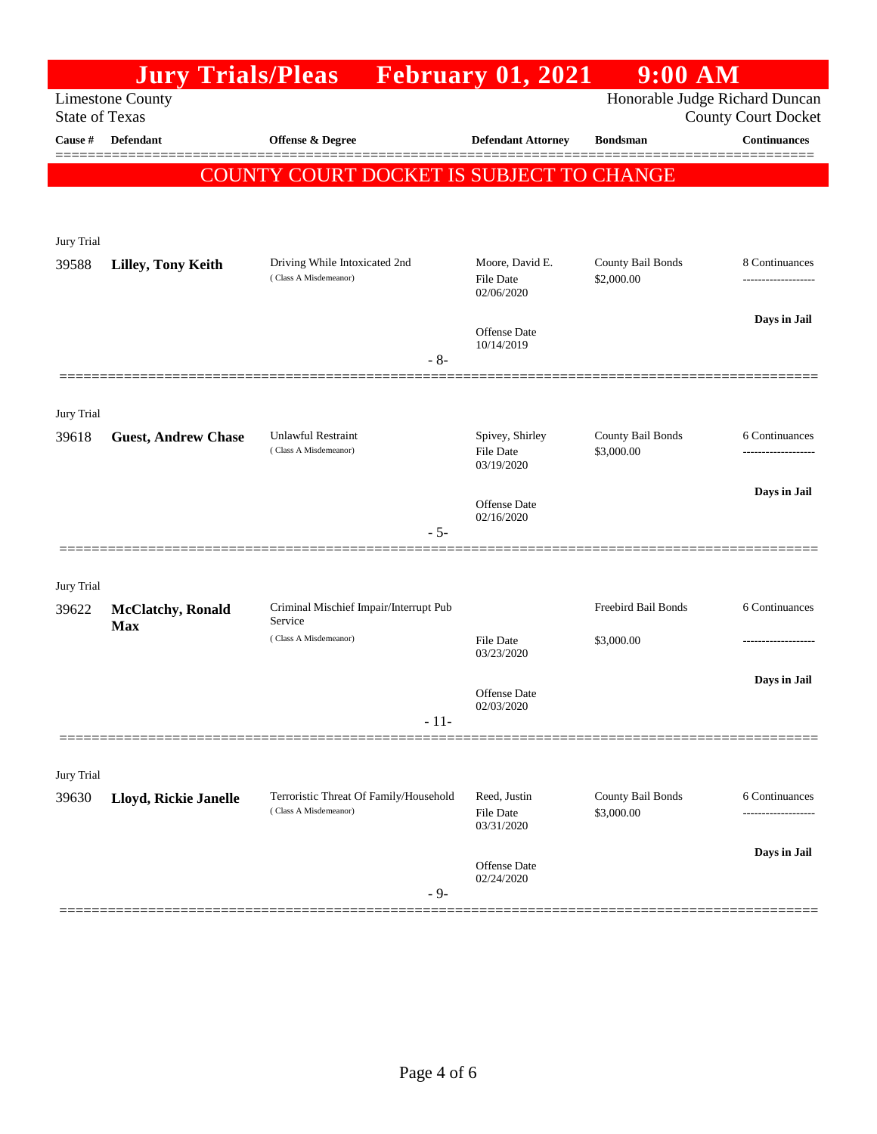|                                                                                                                  |                            | <b>Jury Trials/Pleas</b> February 01, 2021                      |                                                   | $9:00$ AM                       |                     |  |
|------------------------------------------------------------------------------------------------------------------|----------------------------|-----------------------------------------------------------------|---------------------------------------------------|---------------------------------|---------------------|--|
| Honorable Judge Richard Duncan<br><b>Limestone County</b><br><b>State of Texas</b><br><b>County Court Docket</b> |                            |                                                                 |                                                   |                                 |                     |  |
| Cause #                                                                                                          | <b>Defendant</b>           | Offense & Degree                                                | <b>Defendant Attorney</b>                         | <b>Bondsman</b>                 | <b>Continuances</b> |  |
|                                                                                                                  |                            | <b>COUNTY COURT DOCKET IS SUBJECT TO CHANGE</b>                 |                                                   |                                 |                     |  |
|                                                                                                                  |                            |                                                                 |                                                   |                                 |                     |  |
|                                                                                                                  |                            |                                                                 |                                                   |                                 |                     |  |
| Jury Trial                                                                                                       |                            |                                                                 |                                                   |                                 |                     |  |
| 39588                                                                                                            | <b>Lilley, Tony Keith</b>  | Driving While Intoxicated 2nd<br>(Class A Misdemeanor)          | Moore, David E.<br><b>File Date</b><br>02/06/2020 | County Bail Bonds<br>\$2,000.00 | 8 Continuances      |  |
|                                                                                                                  |                            |                                                                 | Offense Date                                      |                                 | Days in Jail        |  |
|                                                                                                                  |                            | $-8-$                                                           | 10/14/2019                                        |                                 |                     |  |
|                                                                                                                  |                            |                                                                 |                                                   |                                 |                     |  |
| <b>Jury Trial</b>                                                                                                |                            |                                                                 |                                                   |                                 |                     |  |
| 39618                                                                                                            | <b>Guest, Andrew Chase</b> | <b>Unlawful Restraint</b>                                       | Spivey, Shirley                                   | County Bail Bonds               | 6 Continuances      |  |
|                                                                                                                  |                            | (Class A Misdemeanor)                                           | <b>File Date</b><br>03/19/2020                    | \$3,000.00                      |                     |  |
|                                                                                                                  |                            |                                                                 | <b>Offense Date</b>                               |                                 | Days in Jail        |  |
|                                                                                                                  |                            | $-5-$                                                           | 02/16/2020                                        |                                 |                     |  |
|                                                                                                                  |                            |                                                                 |                                                   |                                 |                     |  |
| Jury Trial                                                                                                       |                            |                                                                 |                                                   |                                 |                     |  |
| 39622                                                                                                            | <b>McClatchy</b> , Ronald  | Criminal Mischief Impair/Interrupt Pub<br>Service               |                                                   | Freebird Bail Bonds             | 6 Continuances      |  |
|                                                                                                                  | <b>Max</b>                 | (Class A Misdemeanor)                                           | <b>File Date</b>                                  | \$3,000.00                      |                     |  |
|                                                                                                                  |                            |                                                                 | 03/23/2020                                        |                                 | Days in Jail        |  |
|                                                                                                                  |                            |                                                                 | <b>Offense Date</b><br>02/03/2020                 |                                 |                     |  |
|                                                                                                                  |                            | $-11-$                                                          |                                                   |                                 |                     |  |
|                                                                                                                  |                            |                                                                 |                                                   |                                 |                     |  |
| Jury Trial                                                                                                       |                            |                                                                 | Reed, Justin                                      |                                 |                     |  |
| 39630                                                                                                            | Lloyd, Rickie Janelle      | Terroristic Threat Of Family/Household<br>(Class A Misdemeanor) | <b>File Date</b><br>03/31/2020                    | County Bail Bonds<br>\$3,000.00 | 6 Continuances      |  |
|                                                                                                                  |                            |                                                                 |                                                   |                                 | Days in Jail        |  |
|                                                                                                                  |                            | $-9-$                                                           | Offense Date<br>02/24/2020                        |                                 |                     |  |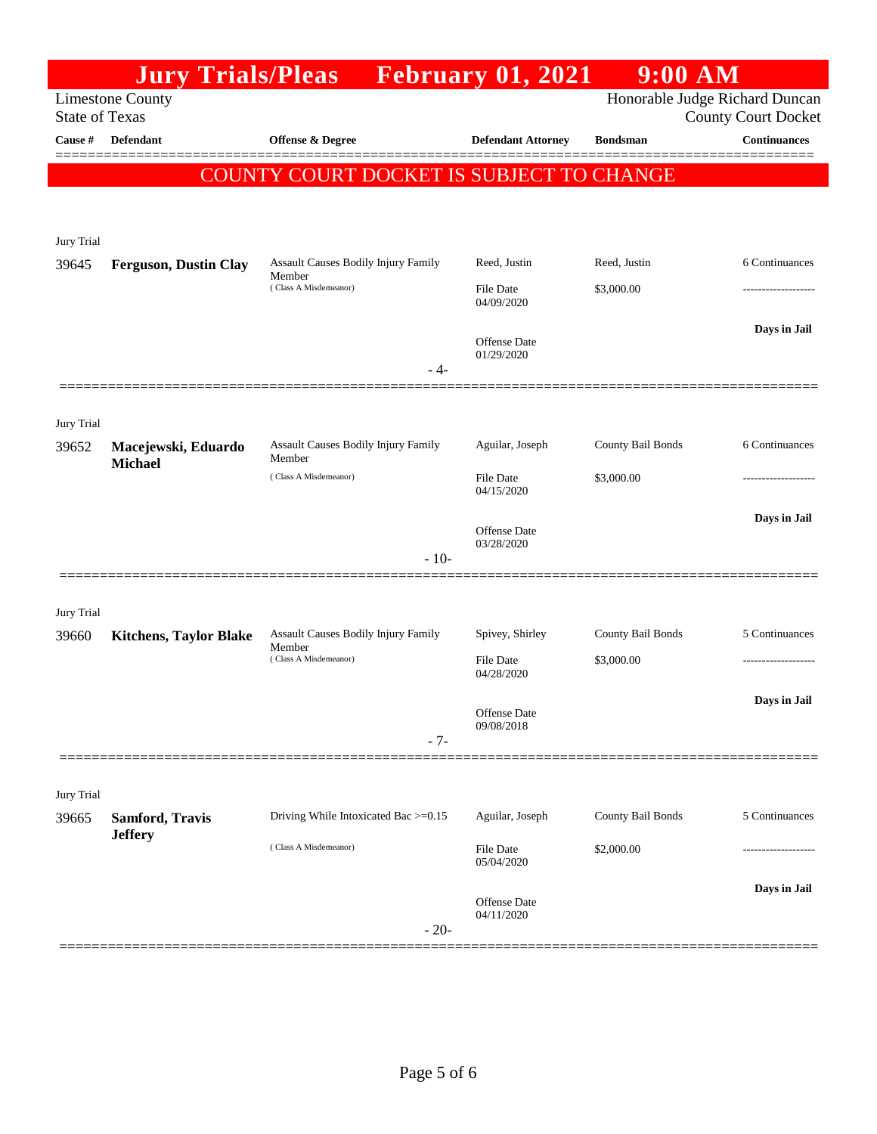|                       | <b>Jury Trials/Pleas</b>          |                                                 | <b>February 01, 2021</b>       | 9:00 AM           |                                                   |
|-----------------------|-----------------------------------|-------------------------------------------------|--------------------------------|-------------------|---------------------------------------------------|
| <b>State of Texas</b> | <b>Limestone County</b>           |                                                 |                                |                   | Honorable Judge Richard Duncan                    |
| Cause #               | Defendant                         | Offense & Degree                                | <b>Defendant Attorney</b>      | <b>Bondsman</b>   | <b>County Court Docket</b><br><b>Continuances</b> |
|                       |                                   |                                                 |                                |                   | =======                                           |
|                       |                                   | <b>COUNTY COURT DOCKET IS SUBJECT TO CHANGE</b> |                                |                   |                                                   |
|                       |                                   |                                                 |                                |                   |                                                   |
| Jury Trial            |                                   |                                                 |                                |                   |                                                   |
| 39645                 | <b>Ferguson, Dustin Clay</b>      | Assault Causes Bodily Injury Family<br>Member   | Reed, Justin                   | Reed, Justin      | 6 Continuances                                    |
|                       |                                   | (Class A Misdemeanor)                           | <b>File Date</b><br>04/09/2020 | \$3,000.00        |                                                   |
|                       |                                   |                                                 | <b>Offense Date</b>            |                   | Days in Jail                                      |
|                       |                                   | - 4-                                            | 01/29/2020                     |                   |                                                   |
|                       |                                   |                                                 |                                |                   |                                                   |
| Jury Trial            |                                   |                                                 |                                |                   |                                                   |
| 39652                 | Macejewski, Eduardo               | Assault Causes Bodily Injury Family             | Aguilar, Joseph                | County Bail Bonds | 6 Continuances                                    |
|                       | <b>Michael</b>                    | Member<br>(Class A Misdemeanor)                 | <b>File Date</b>               | \$3,000.00        |                                                   |
|                       |                                   |                                                 | 04/15/2020                     |                   |                                                   |
|                       |                                   |                                                 | <b>Offense Date</b>            |                   | Days in Jail                                      |
|                       |                                   | $-10-$                                          | 03/28/2020                     |                   |                                                   |
|                       |                                   |                                                 |                                |                   |                                                   |
| Jury Trial            |                                   |                                                 |                                |                   |                                                   |
| 39660                 | <b>Kitchens, Taylor Blake</b>     | Assault Causes Bodily Injury Family<br>Member   | Spivey, Shirley                | County Bail Bonds | 5 Continuances                                    |
|                       |                                   | (Class A Misdemeanor)                           | <b>File Date</b><br>04/28/2020 | \$3,000.00        | --------------                                    |
|                       |                                   |                                                 |                                |                   | Days in Jail                                      |
|                       |                                   |                                                 | Offense Date<br>09/08/2018     |                   |                                                   |
|                       |                                   | $-7-$                                           |                                |                   |                                                   |
|                       |                                   |                                                 |                                |                   |                                                   |
| Jury Trial<br>39665   |                                   | Driving While Intoxicated Bac >=0.15            | Aguilar, Joseph                | County Bail Bonds | 5 Continuances                                    |
|                       | Samford, Travis<br><b>Jeffery</b> |                                                 |                                |                   |                                                   |
|                       |                                   | (Class A Misdemeanor)                           | <b>File Date</b><br>05/04/2020 | \$2,000.00        |                                                   |
|                       |                                   |                                                 |                                |                   | Days in Jail                                      |
|                       |                                   |                                                 | Offense Date<br>04/11/2020     |                   |                                                   |
|                       |                                   | $-20-$                                          |                                |                   |                                                   |